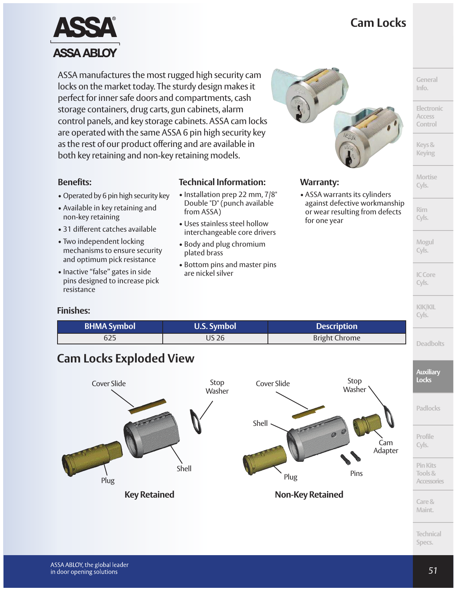## **Cam Locks**



ASSA manufactures the most rugged high security cam locks on the market today. The sturdy design makes it perfect for inner safe doors and compartments, cash storage containers, drug carts, gun cabinets, alarm control panels, and key storage cabinets. ASSA cam locks are operated with the same ASSA 6 pin high security key as the rest of our product offering and are available in both key retaining and non-key retaining models.

#### **Benefits:**

- Operated by 6 pin high security key
- Available in key retaining and non-key retaining
- 31 different catches available
- Two independent locking mechanisms to ensure security and optimum pick resistance
- Inactive "false" gates in side pins designed to increase pick resistance

#### **Technical Information:** • Installation prep 22 mm, 7/8"

- Double "D" (punch available from ASSA)
- Uses stainless steel hollow interchangeable core drivers
- Body and plug chromium plated brass
- Bottom pins and master pins are nickel silver



### **Warranty:**

• ASSA warrants its cylinders against defective workmanship or wear resulting from defects for one year

> **Mogul Cyls.**

**ICCore Cyls.**

**KIK/KIL Cyls.**

**General Info.**

**Electronic Access Control**

**Keys& Keying**

**Mortise Cyls.**

**Rim Cyls.**

#### **Finishes:**

| <b>BHMA Symbol</b><br><b>U.S. Symbol</b> |       | <b>Description</b>   |  |
|------------------------------------------|-------|----------------------|--|
| 625                                      | US 26 | <b>Bright Chrome</b> |  |

### **Cam Locks Exploded View**



**Technical Specs.**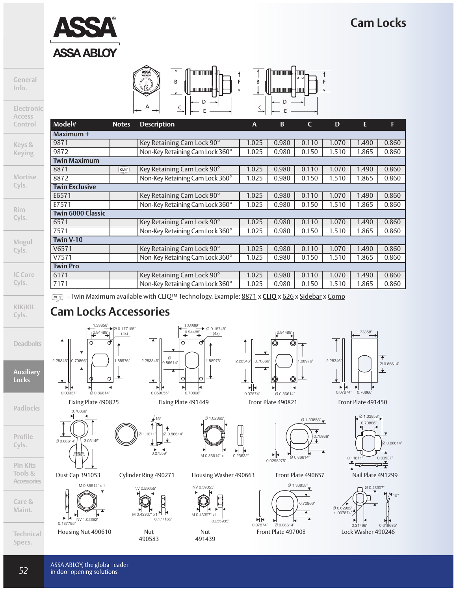### **Cam Locks**



**General Info.**

**Electronic**

| ASS<br>ASSA AELO | ם | г |
|------------------|---|---|
|                  |   |   |

| Access         |                          |       |                                 |       |       |       |       |       |       |
|----------------|--------------------------|-------|---------------------------------|-------|-------|-------|-------|-------|-------|
| Control        | Model#                   | Notes | <b>Description</b>              | A     | B     | C     | D     | E.    | F.    |
|                | Maximum +                |       |                                 |       |       |       |       |       |       |
| Keys &         | 9871                     |       | Key Retaining Cam Lock 90°      | 1.025 | 0.980 | 0.110 | 1.070 | 1.490 | 0.860 |
| <b>Keying</b>  | 9872                     |       | Non-Key Retaining Cam Lock 360° | 1.025 | 0.980 | 0.150 | 1.510 | 1.865 | 0.860 |
|                | <b>Twin Maximum</b>      |       |                                 |       |       |       |       |       |       |
|                | 8871                     | CLIO  | Key Retaining Cam Lock 90°      | 1.025 | 0.980 | 0.110 | 1.070 | 1.490 | 0.860 |
| <b>Mortise</b> | 8872                     |       | Non-Key Retaining Cam Lock 360° | 1.025 | 0.980 | 0.150 | 1.510 | 1.865 | 0.860 |
| Cyls.          | <b>Twin Exclusive</b>    |       |                                 |       |       |       |       |       |       |
|                | E6571                    |       | Key Retaining Cam Lock 90°      | 1.025 | 0.980 | 0.110 | 1.070 | 1.490 | 0.860 |
|                | E7571                    |       | Non-Key Retaining Cam Lock 360° | 1.025 | 0.980 | 0.150 | 1.510 | 1.865 | 0.860 |
| <b>Rim</b>     | <b>Twin 6000 Classic</b> |       |                                 |       |       |       |       |       |       |
| Cyls.          | 6571                     |       | Key Retaining Cam Lock 90°      | 1.025 | 0.980 | 0.110 | 1.070 | 1.490 | 0.860 |
|                | 7571                     |       | Non-Key Retaining Cam Lock 360° | 1.025 | 0.980 | 0.150 | 1.510 | 1.865 | 0.860 |
| Mogul          | Twin V-10                |       |                                 |       |       |       |       |       |       |
| Cyls.          | V6571                    |       | Key Retaining Cam Lock 90°      | 1.025 | 0.980 | 0.110 | 1.070 | 1.490 | 0.860 |
|                | V7571                    |       | Non-Key Retaining Cam Lock 360° | 1.025 | 0.980 | 0.150 | 1.510 | 1.865 | 0.860 |
|                | <b>Twin Pro</b>          |       |                                 |       |       |       |       |       |       |
| <b>IC Core</b> | 6171                     |       | Key Retaining Cam Lock 90°      | 1.025 | 0.980 | 0.110 | 1.070 | 1.490 | 0.860 |
| Cyls.          | 7171                     |       | Non-Key Retaining Cam Lock 360° | 1.025 | 0.980 | 0.150 | 1.510 | 1.865 | 0.860 |

**KIK/KIL Cyls.**

**Deadbolts**

**Auxiliary Locks**

**Padlocks**

**Profile Cyls.**

**Pin Kits Tools & Accessories**

**Care & Maint.**

**Technical Specs.**



**Cam Locks Accessories**

 $\frac{10.94488}{5}$ 

1.33858"

1.88976"

Ø 0.177165" (4x)

Dust Cap 391053



Housing Nut 490610



– Twin Maximum available with CLIQ™ Technology. Example: 8871 x **CLIQ** x 626 x Sidebar x Comp

Fixing Plate 490825 Fixing Plate 491449

Ø 1.1811" Ø 0.86614"

₳

 $\ddotmark$ 

15°

Ť

↡

 $\overline{0.27559}$ 

 $M 0.43307' x1$ 

Nut 490583

0.177165"

NV 0.59055"

Cylinder Ring 490271



Housing Washer 490663

M 0.4330

Nut 491439

NV 0.59055"



0.94488"

0.70866"

▶∥◀

2.28346"

0.07874" Ø 0.86614"

Front Plate 490657

 $\overline{\mathbf{r}}$ 

1.88976"



Front Plate 497008



1.3385

Front Plate 490821 Front Plate 491450



Nail Plate 491299



ASSA ABLOY, the global leader in door opening solutions

*52*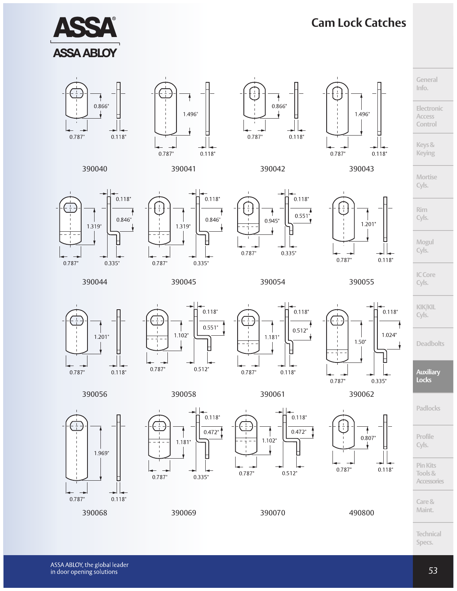

# **Cam Lock Catches**







Ŧ 0.866  $0.787"$  $0.118"$ 





**Mortise Cyls.**

**Rim Cyls.**

**Keys& Keying**

**General Info.**

**Electronic Access Control**



390044 390045 390054 390055



 $0.118"$ 



 $0.118"$  $0.551$ 0.787"



**ICCore Cyls.**

**KIK/KIL Cyls.**

 $0.118$ "

ł

**Deadbolts**

**Auxiliary Locks**

**Padlocks**

**Mogul Cyls.**

 $1.201"$ 













**PinKits Tools& Accessories**

**Care& Maint.**

**Technical Specs.**



1.969"

 $0.118"$ 

 $\frac{1}{1}$  -

 $0.787"$ 



 $\perp$ 

 $\overline{+}$ 

 $0.787"$ 



 $0.335"$ 

390068 390069 390070 490800

 $0.787"$ 



 $0.118"$  $0.472"$  $0.512"$